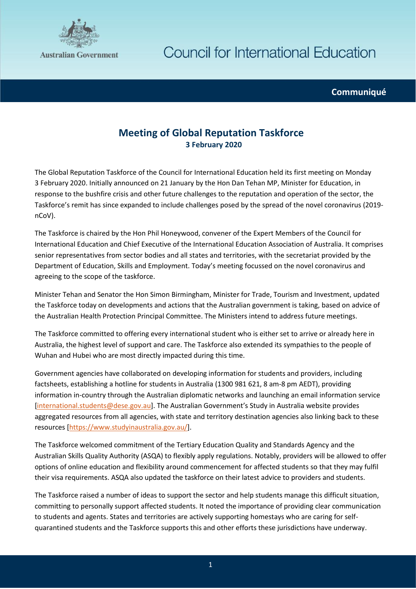

**Communiqué**

## **Meeting of Global Reputation Taskforce 3 February 2020**

The Global Reputation Taskforce of the Council for International Education held its first meeting on Monday 3 February 2020. Initially announced on 21 January by the Hon Dan Tehan MP, Minister for Education, in response to the bushfire crisis and other future challenges to the reputation and operation of the sector, the Taskforce's remit has since expanded to include challenges posed by the spread of the novel coronavirus (2019 nCoV).

The Taskforce is chaired by the Hon Phil Honeywood, convener of the Expert Members of the Council for International Education and Chief Executive of the International Education Association of Australia. It comprises senior representatives from sector bodies and all states and territories, with the secretariat provided by the Department of Education, Skills and Employment. Today's meeting focussed on the novel coronavirus and agreeing to the scope of the taskforce.

Minister Tehan and Senator the Hon Simon Birmingham, Minister for Trade, Tourism and Investment, updated the Taskforce today on developments and actions that the Australian government is taking, based on advice of the Australian Health Protection Principal Committee. The Ministers intend to address future meetings.

The Taskforce committed to offering every international student who is either set to arrive or already here in Australia, the highest level of support and care. The Taskforce also extended its sympathies to the people of Wuhan and Hubei who are most directly impacted during this time.

Government agencies have collaborated on developing information for students and providers, including factsheets, establishing a hotline for students in Australia (1300 981 621, 8 am-8 pm AEDT), providing information in-country through the Australian diplomatic networks and launching an email information service [\[international.students@dese.gov.au\]](mailto:international.students@dese.gov.au). The Australian Government's Study in Australia website provides aggregated resources from all agencies, with state and territory destination agencies also linking back to these resources [\[https://www.studyinaustralia.gov.au/\]](https://www.studyinaustralia.gov.au/).

The Taskforce welcomed commitment of the Tertiary Education Quality and Standards Agency and the Australian Skills Quality Authority (ASQA) to flexibly apply regulations. Notably, providers will be allowed to offer options of online education and flexibility around commencement for affected students so that they may fulfil their visa requirements. ASQA also updated the taskforce on their latest advice to providers and students.

The Taskforce raised a number of ideas to support the sector and help students manage this difficult situation, committing to personally support affected students. It noted the importance of providing clear communication to students and agents. States and territories are actively supporting homestays who are caring for selfquarantined students and the Taskforce supports this and other efforts these jurisdictions have underway.